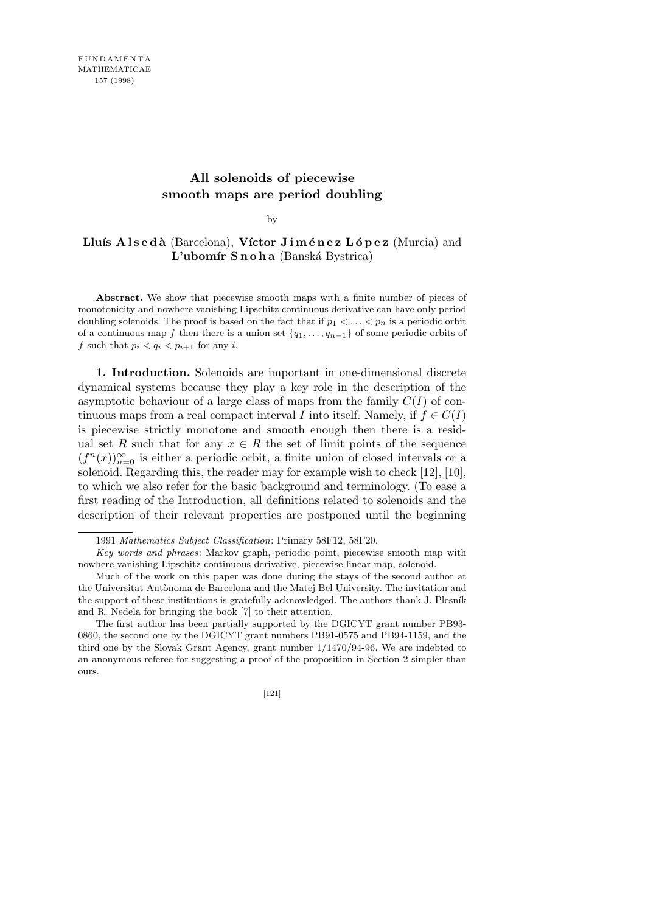## **All solenoids of piecewise smooth maps are period doubling**

by

## Lluís A ls e d à (Barcelona), Víctor J i m é n e z L ó p e z (Murcia) and L'ubomír Snoha (Banská Bystrica)

Abstract. We show that piecewise smooth maps with a finite number of pieces of monotonicity and nowhere vanishing Lipschitz continuous derivative can have only period doubling solenoids. The proof is based on the fact that if  $p_1 < \ldots < p_n$  is a periodic orbit of a continuous map *f* then there is a union set  $\{q_1, \ldots, q_{n-1}\}$  of some periodic orbits of *f* such that  $p_i < q_i < p_{i+1}$  for any *i*.

**1. Introduction.** Solenoids are important in one-dimensional discrete dynamical systems because they play a key role in the description of the asymptotic behaviour of a large class of maps from the family  $C(I)$  of continuous maps from a real compact interval *I* into itself. Namely, if  $f \in C(I)$ is piecewise strictly monotone and smooth enough then there is a residual set *R* such that for any  $x \in R$  the set of limit points of the sequence  $(f^{n}(x))_{n=0}^{\infty}$  is either a periodic orbit, a finite union of closed intervals or a solenoid. Regarding this, the reader may for example wish to check [12], [10], to which we also refer for the basic background and terminology. (To ease a first reading of the Introduction, all definitions related to solenoids and the description of their relevant properties are postponed until the beginning

The first author has been partially supported by the DGICYT grant number PB93- 0860, the second one by the DGICYT grant numbers PB91-0575 and PB94-1159, and the third one by the Slovak Grant Agency, grant number 1/1470/94-96. We are indebted to an anonymous referee for suggesting a proof of the proposition in Section 2 simpler than ours.



<sup>1991</sup> *Mathematics Subject Classification*: Primary 58F12, 58F20.

*Key words and phrases*: Markov graph, periodic point, piecewise smooth map with nowhere vanishing Lipschitz continuous derivative, piecewise linear map, solenoid.

Much of the work on this paper was done during the stays of the second author at the Universitat Autònoma de Barcelona and the Matej Bel University. The invitation and the support of these institutions is gratefully acknowledged. The authors thank J. Plesník and R. Nedela for bringing the book [7] to their attention.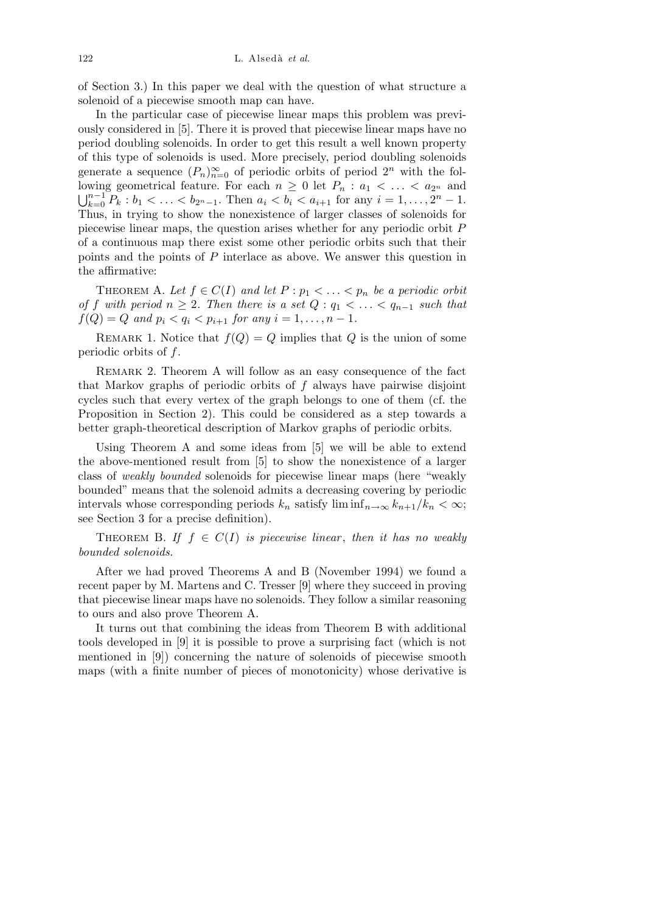of Section 3.) In this paper we deal with the question of what structure a solenoid of a piecewise smooth map can have.

In the particular case of piecewise linear maps this problem was previously considered in [5]. There it is proved that piecewise linear maps have no period doubling solenoids. In order to get this result a well known property of this type of solenoids is used. More precisely, period doubling solenoids generate a sequence  $(P_n)_{n=0}^{\infty}$  of periodic orbits of period  $2^n$  with the following geometrical feature. For each  $n \geq 0$  let  $P_n : a_1 < \ldots < a_{2^n}$  and S*n−*<sup>1</sup>  $\sum_{k=0}^{n-1} P_k : b_1 < \ldots < b_{2^n-1}$ . Then  $a_i < b_i < a_{i+1}$  for any  $i = 1, \ldots, 2^n - 1$ . Thus, in trying to show the nonexistence of larger classes of solenoids for piecewise linear maps, the question arises whether for any periodic orbit *P* of a continuous map there exist some other periodic orbits such that their points and the points of *P* interlace as above. We answer this question in the affirmative:

THEOREM A. Let  $f \in C(I)$  and let  $P : p_1 < \ldots < p_n$  be a periodic orbit *of f with period*  $n \geq 2$ *. Then there is a set*  $Q: q_1 < \ldots < q_{n-1}$  *such that*  $f(Q) = Q$  *and*  $p_i < q_i < p_{i+1}$  *for any*  $i = 1, ..., n-1$ .

REMARK 1. Notice that  $f(Q) = Q$  implies that *Q* is the union of some periodic orbits of *f*.

REMARK 2. Theorem A will follow as an easy consequence of the fact that Markov graphs of periodic orbits of *f* always have pairwise disjoint cycles such that every vertex of the graph belongs to one of them (cf. the Proposition in Section 2). This could be considered as a step towards a better graph-theoretical description of Markov graphs of periodic orbits.

Using Theorem A and some ideas from [5] we will be able to extend the above-mentioned result from [5] to show the nonexistence of a larger class of *weakly bounded* solenoids for piecewise linear maps (here "weakly bounded" means that the solenoid admits a decreasing covering by periodic intervals whose corresponding periods  $k_n$  satisfy  $\liminf_{n\to\infty} k_{n+1}/k_n < \infty$ ; see Section 3 for a precise definition).

THEOREM B. If  $f \in C(I)$  is piecewise linear, then it has no weakly *bounded solenoids.*

After we had proved Theorems A and B (November 1994) we found a recent paper by M. Martens and C. Tresser [9] where they succeed in proving that piecewise linear maps have no solenoids. They follow a similar reasoning to ours and also prove Theorem A.

It turns out that combining the ideas from Theorem B with additional tools developed in [9] it is possible to prove a surprising fact (which is not mentioned in [9]) concerning the nature of solenoids of piecewise smooth maps (with a finite number of pieces of monotonicity) whose derivative is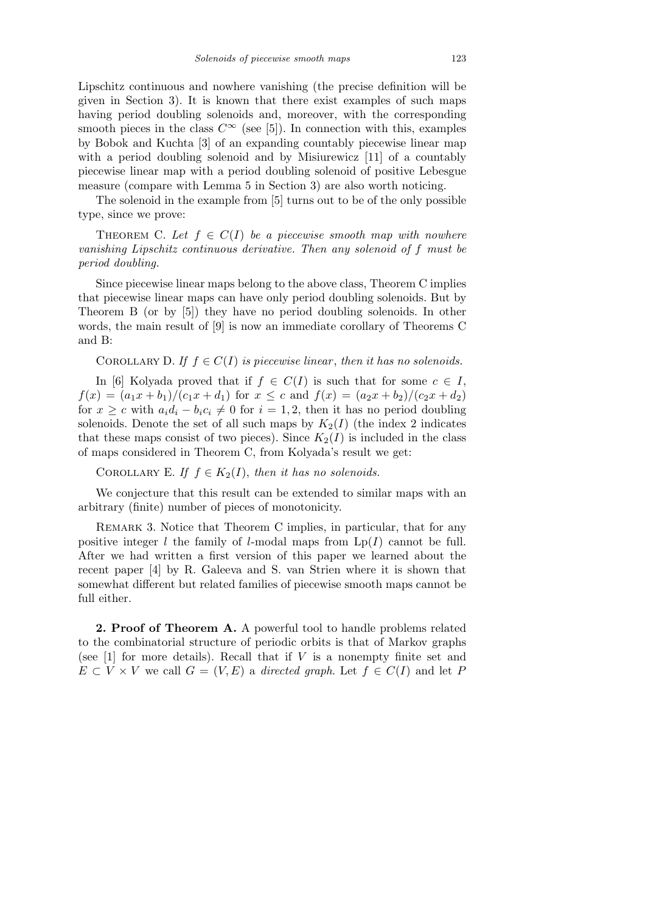Lipschitz continuous and nowhere vanishing (the precise definition will be given in Section 3). It is known that there exist examples of such maps having period doubling solenoids and, moreover, with the corresponding smooth pieces in the class  $C^{\infty}$  (see [5]). In connection with this, examples by Bobok and Kuchta [3] of an expanding countably piecewise linear map with a period doubling solenoid and by Misiurewicz [11] of a countably piecewise linear map with a period doubling solenoid of positive Lebesgue measure (compare with Lemma 5 in Section 3) are also worth noticing.

The solenoid in the example from [5] turns out to be of the only possible type, since we prove:

THEOREM C. Let  $f \in C(I)$  be a piecewise smooth map with nowhere *vanishing Lipschitz continuous derivative. Then any solenoid of f must be period doubling.*

Since piecewise linear maps belong to the above class, Theorem C implies that piecewise linear maps can have only period doubling solenoids. But by Theorem B (or by [5]) they have no period doubling solenoids. In other words, the main result of [9] is now an immediate corollary of Theorems C and B:

COROLLARY D. If  $f \in C(I)$  is piecewise linear, then it has no solenoids.

In [6] Kolyada proved that if  $f \in C(I)$  is such that for some  $c \in I$ ,  $f(x) = (a_1x + b_1)/(c_1x + d_1)$  for  $x \leq c$  and  $f(x) = (a_2x + b_2)/(c_2x + d_2)$ for  $x \geq c$  with  $a_i d_i - b_i c_i \neq 0$  for  $i = 1, 2$ , then it has no period doubling solenoids. Denote the set of all such maps by  $K_2(I)$  (the index 2 indicates that these maps consist of two pieces). Since  $K_2(I)$  is included in the class of maps considered in Theorem C, from Kolyada's result we get:

COROLLARY E. *If*  $f \in K_2(I)$ , *then it has no solenoids.* 

We conjecture that this result can be extended to similar maps with an arbitrary (finite) number of pieces of monotonicity.

REMARK 3. Notice that Theorem C implies, in particular, that for any positive integer *l* the family of *l*-modal maps from  $Lp(I)$  cannot be full. After we had written a first version of this paper we learned about the recent paper [4] by R. Galeeva and S. van Strien where it is shown that somewhat different but related families of piecewise smooth maps cannot be full either.

**2. Proof of Theorem A.** A powerful tool to handle problems related to the combinatorial structure of periodic orbits is that of Markov graphs (see [1] for more details). Recall that if *V* is a nonempty finite set and  $E \subset V \times V$  we call  $G = (V, E)$  a *directed graph*. Let  $f \in C(I)$  and let *P*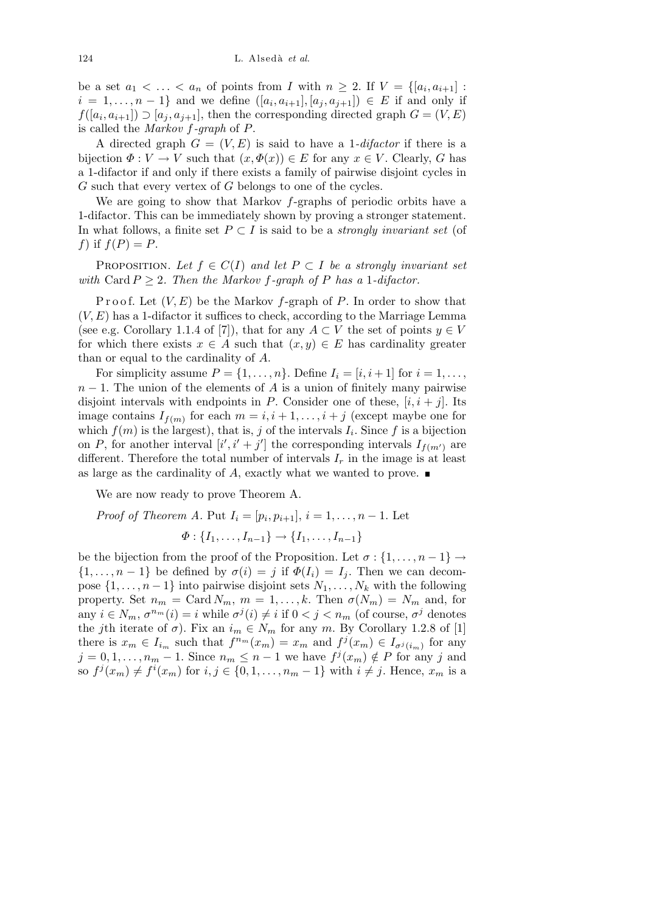be a set  $a_1 < \ldots < a_n$  of points from *I* with  $n \geq 2$ . If  $V = \{[a_i, a_{i+1}] :$  $i = 1, \ldots, n-1$ } and we define  $([a_i, a_{i+1}], [a_j, a_{j+1}]) \in E$  if and only if  $f([a_i, a_{i+1}]) \supseteq [a_j, a_{j+1}]$ , then the corresponding directed graph  $G = (V, E)$ is called the *Markov f-graph* of *P*.

A directed graph  $G = (V, E)$  is said to have a 1-*difactor* if there is a bijection  $\Phi: V \to V$  such that  $(x, \Phi(x)) \in E$  for any  $x \in V$ . Clearly, *G* has a 1-difactor if and only if there exists a family of pairwise disjoint cycles in *G* such that every vertex of *G* belongs to one of the cycles.

We are going to show that Markov *f*-graphs of periodic orbits have a 1-difactor. This can be immediately shown by proving a stronger statement. In what follows, a finite set  $P \subset I$  is said to be a *strongly invariant set* (of *f*) if  $f(P) = P$ .

PROPOSITION. Let  $f \in C(I)$  and let  $P \subset I$  be a strongly invariant set *with* Card  $P \geq 2$ *. Then the Markov f-graph of*  $P$  *has a* 1*-difactor.* 

Proof. Let  $(V, E)$  be the Markov *f*-graph of *P*. In order to show that (*V, E*) has a 1-difactor it suffices to check, according to the Marriage Lemma (see e.g. Corollary 1.1.4 of [7]), that for any  $A \subset V$  the set of points  $y \in V$ for which there exists  $x \in A$  such that  $(x, y) \in E$  has cardinality greater than or equal to the cardinality of *A*.

For simplicity assume  $P = \{1, \ldots, n\}$ . Define  $I_i = [i, i + 1]$  for  $i = 1, \ldots, n$  $n-1$ . The union of the elements of *A* is a union of finitely many pairwise disjoint intervals with endpoints in *P*. Consider one of these,  $[i, i + j]$ . Its image contains  $I_{f(m)}$  for each  $m = i, i + 1, \ldots, i + j$  (except maybe one for which  $f(m)$  is the largest), that is, *j* of the intervals  $I_i$ . Since f is a bijection on *P*, for another interval  $[i', i' + j']$  the corresponding intervals  $I_{f(m')}$  are different. Therefore the total number of intervals  $I_r$  in the image is at least as large as the cardinality of *A*, exactly what we wanted to prove.

We are now ready to prove Theorem A.

*Proof of Theorem A.* Put 
$$
I_i = [p_i, p_{i+1}], i = 1, ..., n - 1
$$
. Let  

$$
\Phi : \{I_1, ..., I_{n-1}\} \to \{I_1, ..., I_{n-1}\}
$$

be the bijection from the proof of the Proposition. Let  $\sigma : \{1, \ldots, n-1\} \rightarrow$  $\{1, \ldots, n-1\}$  be defined by  $\sigma(i) = j$  if  $\Phi(I_i) = I_j$ . Then we can decompose  $\{1, \ldots, n-1\}$  into pairwise disjoint sets  $N_1, \ldots, N_k$  with the following property. Set  $n_m = \text{Card } N_m$ ,  $m = 1, \ldots, k$ . Then  $\sigma(N_m) = N_m$  and, for any  $i \in N_m$ ,  $\sigma^{n_m}(i) = i$  while  $\sigma^j(i) \neq i$  if  $0 < j < n_m$  (of course,  $\sigma^j$  denotes the *j*th iterate of  $\sigma$ ). Fix an  $i_m \in N_m$  for any *m*. By Corollary 1.2.8 of [1] there is  $x_m \in I_{i_m}$  such that  $f^{n_m}(x_m) = x_m$  and  $f^j(x_m) \in I_{\sigma^j(i_m)}$  for any  $j = 0, 1, \ldots, n_m - 1$ . Since  $n_m \leq n - 1$  we have  $f^j(x_m) \notin P$  for any *j* and so  $f^j(x_m) \neq f^i(x_m)$  for  $i, j \in \{0, 1, \ldots, n_m - 1\}$  with  $i \neq j$ . Hence,  $x_m$  is a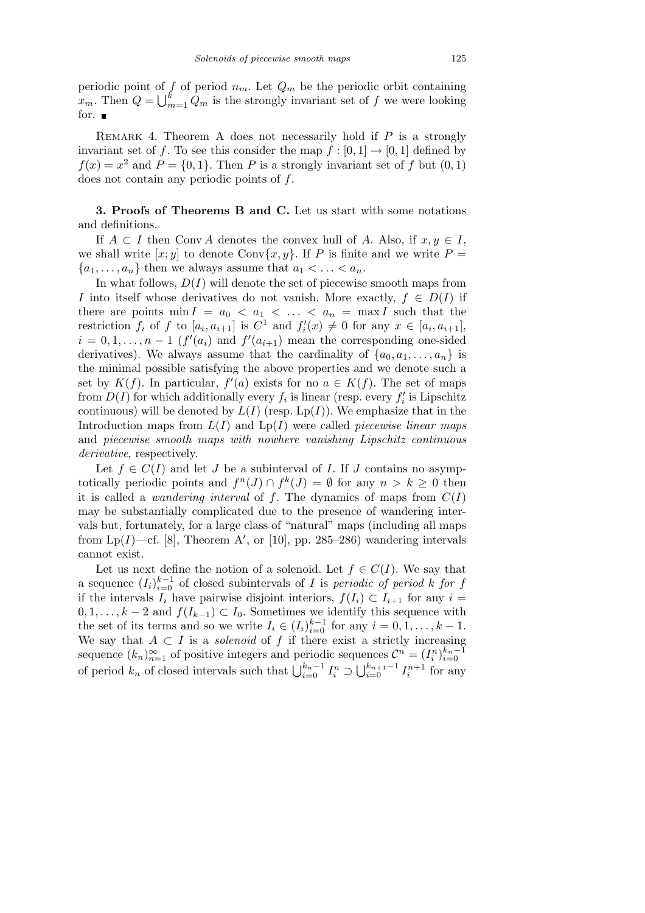periodic point of *f* of period *nm*. Let *Q<sup>m</sup>* be the periodic orbit containing  $x_m$ . Then  $Q = \bigcup_{n=1}^k$  $\sum_{m=1}^{k} Q_m$  is the strongly invariant set of  $f$  we were looking for.  $\blacksquare$ 

Remark 4. Theorem A does not necessarily hold if *P* is a strongly invariant set of *f*. To see this consider the map  $f : [0, 1] \rightarrow [0, 1]$  defined by  $f(x) = x^2$  and  $P = \{0, 1\}$ . Then *P* is a strongly invariant set of *f* but  $(0, 1)$ does not contain any periodic points of *f*.

## **3. Proofs of Theorems B and C.** Let us start with some notations and definitions.

If  $A \subset I$  then Conv  $A$  denotes the convex hull of  $A$ . Also, if  $x, y \in I$ , we shall write  $[x; y]$  to denote Conv $\{x, y\}$ . If P is finite and we write  $P =$  ${a_1, \ldots, a_n}$  then we always assume that  $a_1 < \ldots < a_n$ .

In what follows,  $D(I)$  will denote the set of piecewise smooth maps from *I* into itself whose derivatives do not vanish. More exactly,  $f \in D(I)$  if there are points  $\min I = a_0 < a_1 < \ldots < a_n = \max I$  such that the restriction  $f_i$  of  $f$  to  $[a_i, a_{i+1}]$  is  $C^1$  and  $f'_i(x) \neq 0$  for any  $x \in [a_i, a_{i+1}]$ ,  $i = 0, 1, \ldots, n-1$  ( $f'(a_i)$  and  $f'(a_{i+1})$  mean the corresponding one-sided derivatives). We always assume that the cardinality of  $\{a_0, a_1, \ldots, a_n\}$  is the minimal possible satisfying the above properties and we denote such a set by  $K(f)$ . In particular,  $f'(a)$  exists for no  $a \in K(f)$ . The set of maps from  $D(I)$  for which additionally every  $f_i$  is linear (resp. every  $f'_i$  is Lipschitz continuous) will be denoted by  $L(I)$  (resp. Lp(*I*)). We emphasize that in the Introduction maps from *L*(*I*) and Lp(*I*) were called *piecewise linear maps* and *piecewise smooth maps with nowhere vanishing Lipschitz continuous derivative*, respectively.

Let  $f \in C(I)$  and let *J* be a subinterval of *I*. If *J* contains no asymptotically periodic points and  $f^{n}(J) \cap f^{k}(J) = \emptyset$  for any  $n > k \geq 0$  then it is called a *wandering interval* of  $f$ . The dynamics of maps from  $C(I)$ may be substantially complicated due to the presence of wandering intervals but, fortunately, for a large class of "natural" maps (including all maps from  $Lp(I)$ —cf. [8], Theorem A', or [10], pp. 285–286) wandering intervals cannot exist.

Let us next define the notion of a solenoid. Let  $f \in C(I)$ . We say that a sequence  $(I_i)_{i=0}^{k-1}$  of closed subintervals of *I* is *periodic of period k for f* if the intervals  $I_i$  have pairwise disjoint interiors,  $f(I_i) \subset I_{i+1}$  for any  $i =$ 0*,* 1*, . . . , k −* 2 and  $f(I_{k-1}) \subset I_0$ . Sometimes we identify this sequence with the set of its terms and so we write  $I_i \in (I_i)_{i=0}^{k-1}$  for any  $i = 0, 1, \ldots, k-1$ . We say that  $A \subset I$  is a *solenoid* of  $f$  if there exist a strictly increasing sequence  $(k_n)_{n=1}^{\infty}$  of positive integers and periodic sequences  $\mathcal{C}^n = (I_i^n)_{i=0}^{k_n-1}$ <br>of period  $k_n$  of closed intervals such that  $\bigcup_{i=0}^{k_n-1} I_i^n \supset \bigcup_{i=0}^{k_n+1-1} I_i^{n+1}$  for any  $\int_{i=0}^{k_{n+1}-1} I_i^{n+1}$  for any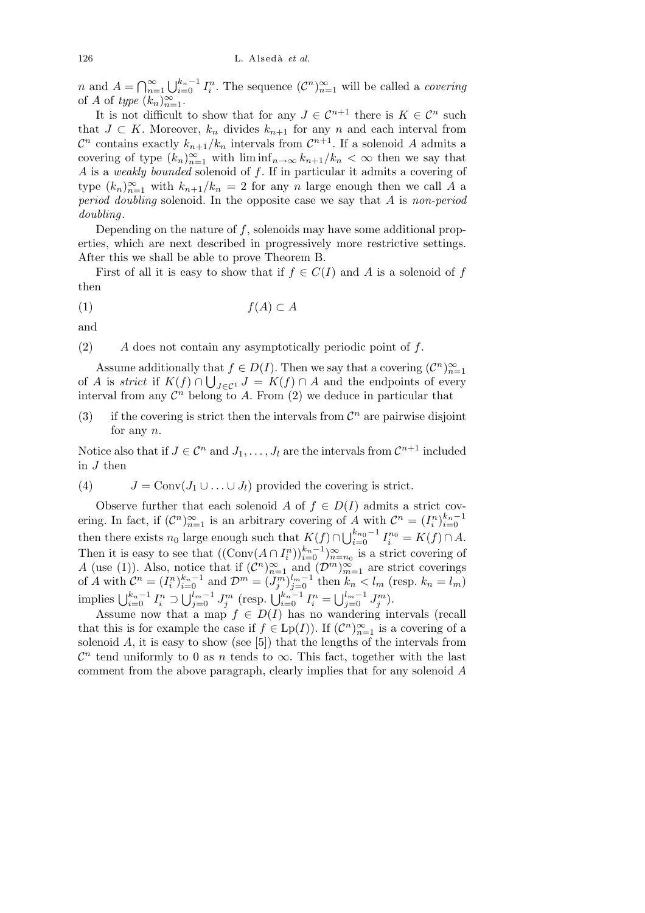*n* and  $A = \bigcap_{n=1}^{\infty}$ *n*=1 S*<sup>k</sup>n−*<sup>1</sup>  $\int_{i=0}^{k_n-1} I_i^n$ . The sequence  $(\mathcal{C}^n)_{n=1}^{\infty}$  will be called a *covering* of *A* of *type*  $(k_n)_{n=1}^{\infty}$ .

It is not difficult to show that for any  $J \in \mathcal{C}^{n+1}$  there is  $K \in \mathcal{C}^n$  such that *J* ⊂ *K*. Moreover,  $k_n$  divides  $k_{n+1}$  for any *n* and each interval from  $\mathcal{C}^n$  contains exactly  $k_{n+1}/k_n$  intervals from  $\mathcal{C}^{n+1}$ . If a solenoid *A* admits a covering of type  $(k_n)_{n=1}^{\infty}$  with  $\liminf_{n\to\infty} k_{n+1}/k_n < \infty$  then we say that *A* is a *weakly bounded* solenoid of *f*. If in particular it admits a covering of type  $(k_n)_{n=1}^{\infty}$  with  $k_{n+1}/k_n = 2$  for any *n* large enough then we call *A* a *period doubling* solenoid. In the opposite case we say that *A* is *non-period doubling*.

Depending on the nature of *f*, solenoids may have some additional properties, which are next described in progressively more restrictive settings. After this we shall be able to prove Theorem B.

First of all it is easy to show that if  $f \in C(I)$  and A is a solenoid of f then

$$
(1) \t\t f(A) \subset A
$$

and

(2) *A* does not contain any asymptotically periodic point of *f*.

Assume additionally that  $f \in D(I)$ . Then we say that a covering  $(C^n)_{n=1}^{\infty}$ of *A* is *strict* if  $K(f) \cap \bigcup_{J \in \mathcal{C}^1} J = K(f) \cap A$  and the endpoints of every interval from any  $\mathcal{C}^n$  belong to A. From (2) we deduce in particular that

(3) if the covering is strict then the intervals from  $\mathcal{C}^n$  are pairwise disjoint for any *n*.

Notice also that if  $J \in \mathcal{C}^n$  and  $J_1, \ldots, J_l$  are the intervals from  $\mathcal{C}^{n+1}$  included in *J* then

(4)  $J = \text{Conv}(J_1 \cup \ldots \cup J_l)$  provided the covering is strict.

Observe further that each solenoid *A* of  $f \in D(I)$  admits a strict covering. In fact, if  $(C^n)_{n=1}^{\infty}$  is an arbitrary covering of *A* with  $C^n = (I_i^n)_{i=0}^{k_n-1}$ then there exists  $n_0$  large enough such that  $K(f) \cap \bigcup_{i=0}^{k_{n_0}-1} I_i^{n_0} = K(f) \cap A$ . Then it is easy to see that  $((\text{Conv}(A \cap I_i^n))_{i=0}^{k_n-1})_{n=n_0}^{\infty}$  is a strict covering of *A* (use (1)). Also, notice that if  $(C^n)_{n=1}^{\infty}$  and  $(D^m)_{m=1}^{\infty}$  are strict coverings of A with  $\mathcal{C}^n = (I_i^n)_{i=0}^{k_n-1}$  and  $\mathcal{D}^m = (J_j^m)_{j=0}^{l_m-1}$  then  $k_n < l_m$  (resp.  $k_n = l_m$ )  $\bigcup_{i=0}^{k_n-1} I_i^n \supset \bigcup_{j=0}^{l_m-1}$  $\int_{j=0}^{l_m-1} J_j^m$  (resp.  $\bigcup_{i=0}^{k_n-1} I_i^n = \bigcup_{j=0}^{l_m-1}$  $\frac{l_m-1}{j=0} J_j^m$ .

Assume now that a map  $f \in D(I)$  has no wandering intervals (recall that this is for example the case if  $f \in \mathrm{Lp}(I)$ ). If  $(\mathcal{C}^n)_{n=1}^{\infty}$  is a covering of a solenoid  $A$ , it is easy to show (see  $[5]$ ) that the lengths of the intervals from  $\mathcal{C}^n$  tend uniformly to 0 as *n* tends to  $\infty$ . This fact, together with the last comment from the above paragraph, clearly implies that for any solenoid *A*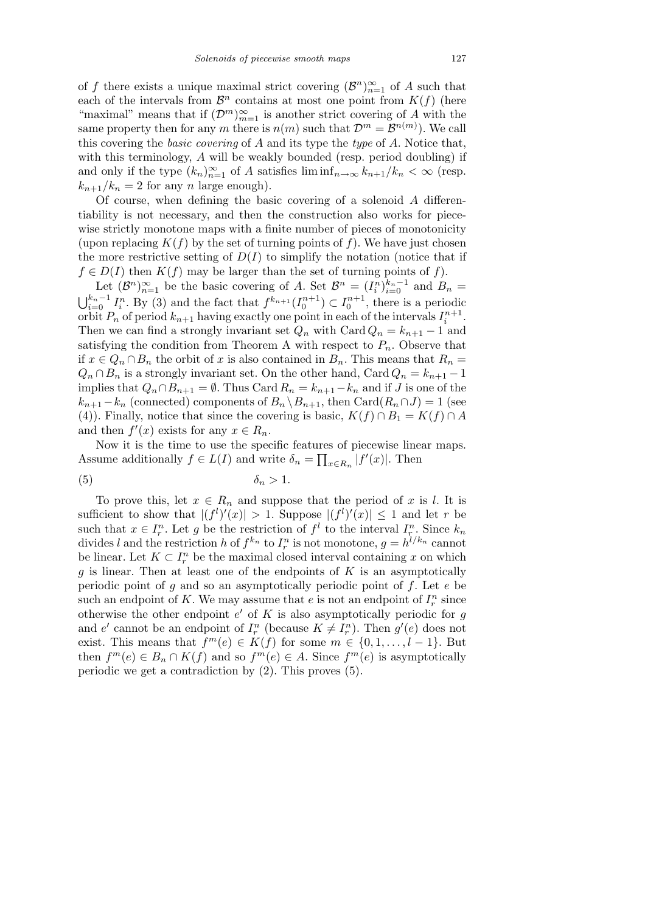of *f* there exists a unique maximal strict covering  $(\mathcal{B}^n)_{n=1}^{\infty}$  of *A* such that each of the intervals from  $\mathcal{B}^n$  contains at most one point from  $K(f)$  (here "maximal" means that if  $(\mathcal{D}^m)_{m=1}^{\infty}$  is another strict covering of *A* with the same property then for any *m* there is  $n(m)$  such that  $\mathcal{D}^m = \mathcal{B}^{n(m)}$ ). We call this covering the *basic covering* of *A* and its type the *type* of *A*. Notice that, with this terminology, *A* will be weakly bounded (resp. period doubling) if and only if the type  $(k_n)_{n=1}^{\infty}$  of *A* satisfies  $\liminf_{n\to\infty} k_{n+1}/k_n < \infty$  (resp.  $k_{n+1}/k_n = 2$  for any *n* large enough).

Of course, when defining the basic covering of a solenoid *A* differentiability is not necessary, and then the construction also works for piecewise strictly monotone maps with a finite number of pieces of monotonicity (upon replacing  $K(f)$  by the set of turning points of f). We have just chosen the more restrictive setting of  $D(I)$  to simplify the notation (notice that if  $f \in D(I)$  then  $K(f)$  may be larger than the set of turning points of  $f$ ).

Let  $(\mathcal{B}^n)_{n=1}^{\infty}$  be the basic covering of *A*. Set  $\mathcal{B}^n = (I_i^n)_{i=0}^{k_n-1}$  and  $B_n =$  $k_n$ <sup>−1</sup>  $\sum_{i=0}^{k_n-1} I_i^n$ . By (3) and the fact that  $f^{k_{n+1}}(I_0^{n+1}) \subset I_0^{n+1}$ , there is a periodic orbit  $P_n$  of period  $k_{n+1}$  having exactly one point in each of the intervals  $I_i^{n+1}$ . Then we can find a strongly invariant set  $Q_n$  with Card  $Q_n = k_{n+1} - 1$  and satisfying the condition from Theorem A with respect to  $P_n$ . Observe that if  $x \in Q_n \cap B_n$  the orbit of x is also contained in  $B_n$ . This means that  $R_n =$  $Q_n \cap B_n$  is a strongly invariant set. On the other hand, Card  $Q_n = k_{n+1} - 1$ implies that  $Q_n \cap B_{n+1} = \emptyset$ . Thus Card  $R_n = k_{n+1} - k_n$  and if *J* is one of the *k*<sub>*n*+1</sub>−*k*<sub>*n*</sub> (connected) components of  $B_n \ B_n$ <sub>1</sub>, then Card( $R_n \cap J$ ) = 1 (see (4)). Finally, notice that since the covering is basic,  $K(f) \cap B_1 = K(f) \cap A$ and then  $f'(x)$  exists for any  $x \in R_n$ .

Now it is the time to use the specific features of piecewise linear maps. Assume additionally  $f \in L(I)$  and write  $\delta_n = \prod_{x \in R_n} |f'(x)|$ . Then

$$
\delta_n > 1.
$$

To prove this, let  $x \in R_n$  and suppose that the period of x is l. It is sufficient to show that  $|(f^l)'(x)| > 1$ . Suppose  $|(f^l)'(x)| \leq 1$  and let *r* be such that  $x \in I_r^n$ . Let *g* be the restriction of  $f^l$  to the interval  $I_r^n$ . Since  $k_n$ divides *l* and the restriction *h* of  $f^{k_n}$  to  $I_r^n$  is not monotone,  $g = h^{l/k_n}$  cannot be linear. Let  $K \subset I_r^n$  be the maximal closed interval containing x on which *g* is linear. Then at least one of the endpoints of *K* is an asymptotically periodic point of *g* and so an asymptotically periodic point of *f*. Let *e* be such an endpoint of K. We may assume that  $e$  is not an endpoint of  $I_r^n$  since otherwise the other endpoint  $e'$  of  $K$  is also asymptotically periodic for  $g$ and *e'* cannot be an endpoint of  $I_r^n$  (because  $K \neq I_r^n$ ). Then  $g'(e)$  does not exist. This means that  $f^m(e) \in K(f)$  for some  $m \in \{0, 1, \ldots, l-1\}$ . But then  $f^m(e) \in B_n \cap K(f)$  and so  $f^m(e) \in A$ . Since  $f^m(e)$  is asymptotically periodic we get a contradiction by (2). This proves (5).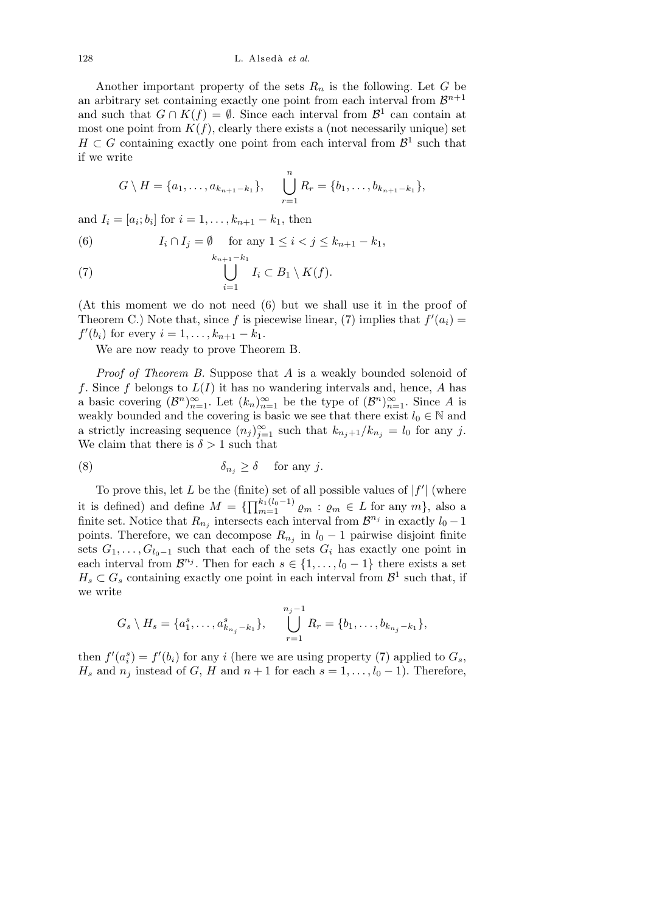Another important property of the sets  $R_n$  is the following. Let  $G$  be an arbitrary set containing exactly one point from each interval from  $\mathcal{B}^{n+1}$ and such that  $G \cap K(f) = \emptyset$ . Since each interval from  $\mathcal{B}^1$  can contain at most one point from  $K(f)$ , clearly there exists a (not necessarily unique) set  $H \subset G$  containing exactly one point from each interval from  $\mathcal{B}^1$  such that if we write

$$
G\setminus H = \{a_1,\ldots,a_{k_{n+1}-k_1}\}, \quad \bigcup_{r=1}^n R_r = \{b_1,\ldots,b_{k_{n+1}-k_1}\},\
$$

and  $I_i = [a_i; b_i]$  for  $i = 1, ..., k_{n+1} - k_1$ , then

(6) 
$$
I_i \cap I_j = \emptyset \text{ for any } 1 \le i < j \le k_{n+1} - k_1,
$$

$$
k_{n+1} - k_1
$$

(7) 
$$
\bigcup_{i=1}^{n_{n+1}} I_i \subset B_1 \setminus K(f).
$$

(At this moment we do not need (6) but we shall use it in the proof of Theorem C.) Note that, since f is piecewise linear, (7) implies that  $f'(a_i) =$  $f'(b_i)$  for every  $i = 1, \ldots, k_{n+1} - k_1$ .

We are now ready to prove Theorem B.

*Proof of Theorem B.* Suppose that *A* is a weakly bounded solenoid of *f*. Since *f* belongs to *L*(*I*) it has no wandering intervals and, hence, *A* has a basic covering  $(\mathcal{B}^n)_{n=1}^{\infty}$ . Let  $(k_n)_{n=1}^{\infty}$  be the type of  $(\mathcal{B}^n)_{n=1}^{\infty}$ . Since *A* is weakly bounded and the covering is basic we see that there exist  $l_0 \in \mathbb{N}$  and a strictly increasing sequence  $(n_j)_{j=1}^{\infty}$  such that  $k_{n_j+1}/k_{n_j} = l_0$  for any *j*. We claim that there is  $\delta > 1$  such that

(8) 
$$
\delta_{n_j} \ge \delta \quad \text{ for any } j.
$$

To prove this, let *L* be the (finite) set of all possible values of  $|f'|$  (where it is defined) and define  $M = \{\prod_{m=1}^{k_1(l_0-1)}\}$  $\sum_{m=1}^{k_1(i_0-1)} \varrho_m : \varrho_m \in L \text{ for any } m \}, \text{ also a}$ finite set. Notice that  $R_{n_j}$  intersects each interval from  $\mathcal{B}^{n_j}$  in exactly  $l_0 - 1$ points. Therefore, we can decompose  $R_{n_j}$  in  $l_0 - 1$  pairwise disjoint finite sets  $G_1, \ldots, G_{l_0-1}$  such that each of the sets  $G_i$  has exactly one point in each interval from  $\mathcal{B}^{n_j}$ . Then for each  $s \in \{1, \ldots, l_0 - 1\}$  there exists a set  $H_s \subset G_s$  containing exactly one point in each interval from  $\mathcal{B}^1$  such that, if we write

$$
G_s \setminus H_s = \{a_1^s, \ldots, a_{k_{n_j}-k_1}^s\}, \quad \bigcup_{r=1}^{n_j-1} R_r = \{b_1, \ldots, b_{k_{n_j}-k_1}\},\
$$

then  $f'(a_i^s) = f'(b_i)$  for any *i* (here we are using property (7) applied to  $G_s$ , *H<sub>s</sub>* and  $n_j$  instead of *G*, *H* and  $n+1$  for each  $s = 1, \ldots, l_0 - 1$ . Therefore,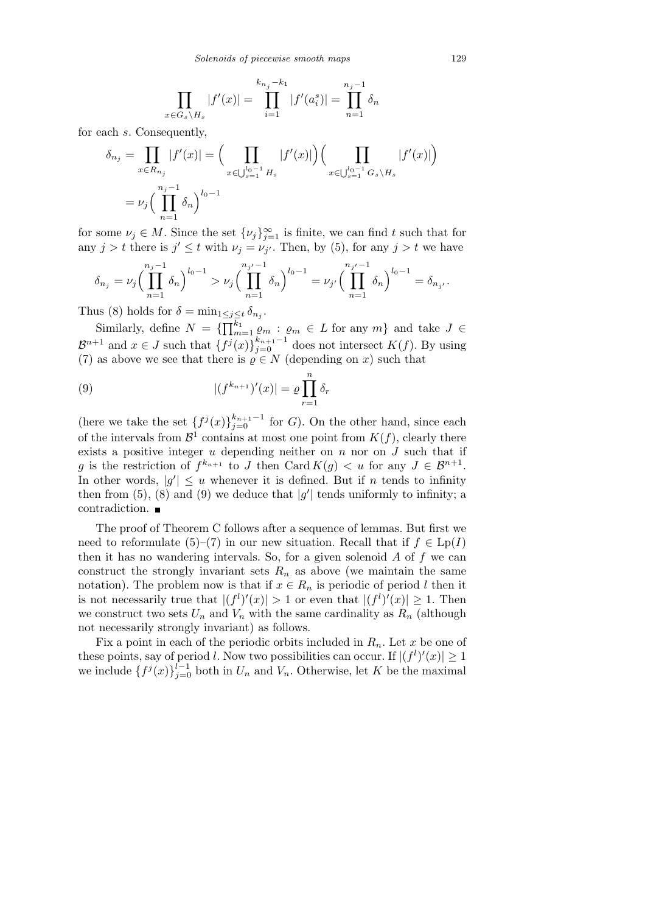$$
\prod_{x \in G_s \setminus H_s} |f'(x)| = \prod_{i=1}^{k_{n_j} - k_1} |f'(a_i^s)| = \prod_{n=1}^{n_j - 1} \delta_n
$$

for each *s*. Consequently,

$$
\delta_{n_j} = \prod_{x \in R_{n_j}} |f'(x)| = \Big( \prod_{x \in \bigcup_{s=1}^{l_0 - 1} H_s} |f'(x)| \Big) \Big( \prod_{x \in \bigcup_{s=1}^{l_0 - 1} G_s \setminus H_s} |f'(x)| \Big)
$$
  
=  $\nu_j \Big( \prod_{n=1}^{n_j - 1} \delta_n \Big)^{l_0 - 1}$ 

for some  $\nu_j \in M$ . Since the set  $\{\nu_j\}_{j=1}^{\infty}$  is finite, we can find t such that for any  $j > t$  there is  $j' \leq t$  with  $\nu_j = \nu_{j'}$ . Then, by (5), for any  $j > t$  we have

$$
\delta_{n_j} = \nu_j \Big( \prod_{n=1}^{n_j - 1} \delta_n \Big)^{l_0 - 1} > \nu_j \Big( \prod_{n=1}^{n_{j'} - 1} \delta_n \Big)^{l_0 - 1} = \nu_{j'} \Big( \prod_{n=1}^{n_{j'} - 1} \delta_n \Big)^{l_0 - 1} = \delta_{n_{j'}}.
$$

Thus (8) holds for  $\delta = \min_{1 \leq j \leq t} \delta_{n_j}$ .

 $\text{Similarly, define } N = \{\prod_{m=1}^{k_1} \}$  $\binom{k_1}{m=1}$   $\varrho_m$  :  $\varrho_m \in L$  for any  $m$ } and take  $J \in$  $B^{n+1}$  and  $x \in J$  such that  $\{f^j(x)\}_{j=0}^{k_{n+1}-1}$  does not intersect  $K(f)$ . By using (7) as above we see that there is  $\rho \in N$  (depending on *x*) such that

(9) 
$$
|(f^{k_{n+1}})'(x)| = \varrho \prod_{r=1}^{n} \delta_r
$$

(here we take the set  ${f<sup>j</sup>(x)}_{j=0}^{k_{n+1}-1}$  for *G*). On the other hand, since each of the intervals from  $\mathcal{B}^1$  contains at most one point from  $K(f)$ , clearly there exists a positive integer *u* depending neither on *n* nor on *J* such that if *g* is the restriction of  $f^{k_{n+1}}$  to *J* then Card  $K(g) < u$  for any  $J \in \mathcal{B}^{n+1}$ . In other words,  $|g'| \leq u$  whenever it is defined. But if *n* tends to infinity then from (5), (8) and (9) we deduce that  $|g'|$  tends uniformly to infinity; a contradiction.

The proof of Theorem C follows after a sequence of lemmas. But first we need to reformulate (5)–(7) in our new situation. Recall that if  $f \in \text{Lp}(I)$ then it has no wandering intervals. So, for a given solenoid *A* of *f* we can construct the strongly invariant sets  $R_n$  as above (we maintain the same notation). The problem now is that if  $x \in R_n$  is periodic of period *l* then it is not necessarily true that  $|(f^l)'(x)| > 1$  or even that  $|(f^l)'(x)| \geq 1$ . Then we construct two sets  $U_n$  and  $V_n$  with the same cardinality as  $R_n$  (although not necessarily strongly invariant) as follows.

Fix a point in each of the periodic orbits included in *Rn*. Let *x* be one of these points, say of period *l*. Now two possibilities can occur. If  $|(f^l)'(x)| \geq 1$ we include  $\{f^j(x)\}_{j=0}^{l-1}$  both in  $U_n$  and  $V_n$ . Otherwise, let *K* be the maximal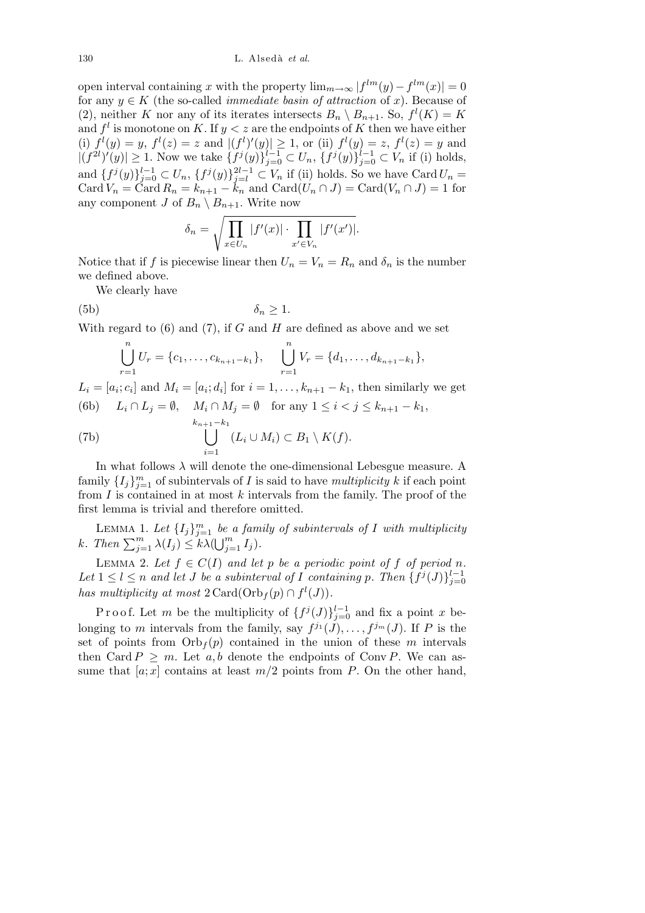130 L. Alsed`a *et al.*

open interval containing *x* with the property  $\lim_{m\to\infty} |f^{lm}(y) - f^{lm}(x)| = 0$ for any  $y \in K$  (the so-called *immediate basin of attraction* of *x*). Because of (2), neither *K* nor any of its iterates intersects  $B_n \setminus B_{n+1}$ . So,  $f^l(K) = K$ and  $f^l$  is monotone on K. If  $y < z$  are the endpoints of K then we have either (i)  $f^{l}(y) = y$ ,  $f^{l}(z) = z$  and  $|(f^{l})'(y)| \ge 1$ , or (ii)  $f^{l}(y) = z$ ,  $f^{l}(z) = y$  and  $|(f^{2l})'(y)| \ge 1$ . Now we take  $\{f^{j}(y)\}_{j=0}^{l-1} \subset U_n$ ,  $\{f^{j}(y)\}_{j=0}^{l-1} \subset V_n$  if (i) holds, and  $\{f^{j}(y)\}_{j=0}^{l-1} \subset U_n$ ,  $\{f^{j}(y)\}_{j=l}^{2l-1} \subset V_n$  if (ii) holds. So we have Card  $U_n =$  $\text{Card } V_n = \text{Card } R_n = k_{n+1} - k_n$  and  $\text{Card}(U_n \cap J) = \text{Card}(V_n \cap J) = 1$  for any component *J* of  $B_n \setminus B_{n+1}$ . Write now

$$
\delta_n = \sqrt{\prod_{x \in U_n} |f'(x)| \cdot \prod_{x' \in V_n} |f'(x')|}.
$$

Notice that if *f* is piecewise linear then  $U_n = V_n = R_n$  and  $\delta_n$  is the number we defined above.

We clearly have

$$
\delta_n \ge 1.
$$

With regard to (6) and (7), if *G* and *H* are defined as above and we set

$$
\bigcup_{r=1}^{n} U_r = \{c_1, \ldots, c_{k_{n+1}-k_1}\}, \quad \bigcup_{r=1}^{n} V_r = \{d_1, \ldots, d_{k_{n+1}-k_1}\},
$$

 $L_i = [a_i; c_i]$  and  $M_i = [a_i; d_i]$  for  $i = 1, \ldots, k_{n+1} - k_1$ , then similarly we get (6b)  $L_i \cap L_j = ∅$ ,  $M_i \cap M_j = ∅$  for any  $1 \le i < j \le k_{n+1} - k_1$ ,

(7b) 
$$
\bigcup_{i=1}^{k_{n+1}-k_1} (L_i \cup M_i) \subset B_1 \setminus K(f).
$$

In what follows  $\lambda$  will denote the one-dimensional Lebesgue measure. A family  $\{I_j\}_{j=1}^m$  of subintervals of *I* is said to have *multiplicity k* if each point from *I* is contained in at most *k* intervals from the family. The proof of the first lemma is trivial and therefore omitted.

LEMMA 1. Let  $\{I_j\}_{j=1}^m$  be a family of subintervals of I with multiplicity k. Then  $\sum_{j=1}^m \lambda(I_j) \le k\lambda(\bigcup_{j=1}^m I_j)$ .  $\frac{1}{2}$ m  $\sum_{j=1}^{m} I_j$ .

LEMMA 2. Let  $f \in C(I)$  and let  $p$  be a periodic point of  $f$  of period  $n$ . *Let*  $1 \leq l \leq n$  *and let J be a subinterval of I containing p. Then*  $\{f^{j}(J)\}_{j=0}^{l-1}$ *has multiplicity at most*  $2 \text{Card}(\text{Orb}_f(p) \cap f^l(J)).$ 

Proof. Let *m* be the multiplicity of  $\{f^{j}(J)\}_{j=0}^{l-1}$  and fix a point *x* belonging to *m* intervals from the family, say  $f^{j_1}(J), \ldots, f^{j_m}(J)$ . If *P* is the set of points from  $Orb<sub>f</sub>(p)$  contained in the union of these *m* intervals then Card  $P \geq m$ . Let  $a, b$  denote the endpoints of Conv P. We can assume that  $[a; x]$  contains at least  $m/2$  points from *P*. On the other hand,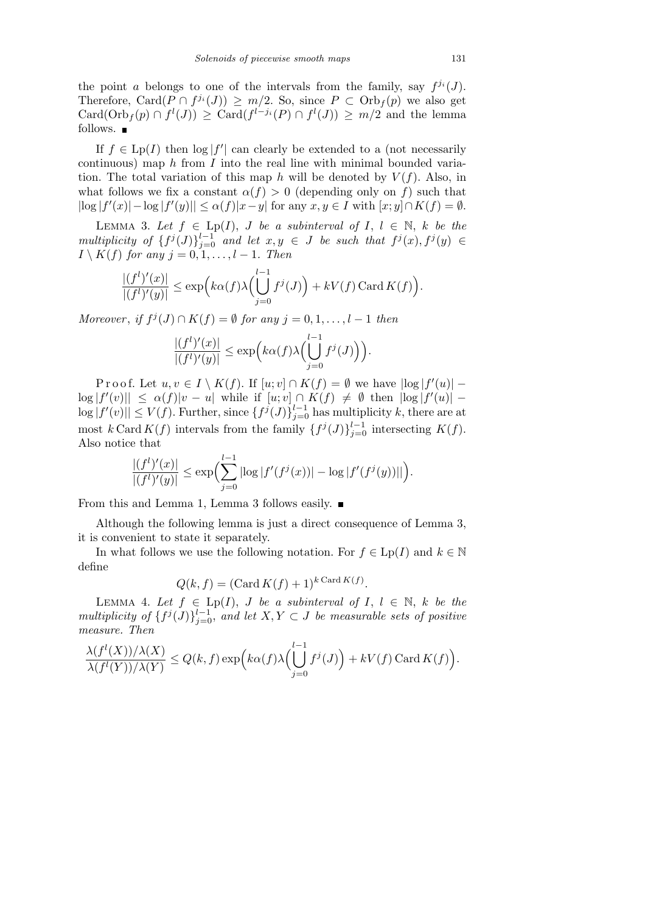the point *a* belongs to one of the intervals from the family, say  $f^{j_i}(J)$ . Therefore, Card $(P \cap f^{j_i}(J)) \geq m/2$ . So, since  $P \subset \text{Orb}_f(p)$  we also get  $Card(Orb<sub>f</sub>(p) \cap f<sup>l</sup>(J)) \geq Card(f<sup>l-j<sub>i</sub></sup>(P) \cap f<sup>l</sup>(J)) \geq m/2$  and the lemma follows.  $\blacksquare$ 

If  $f \in L_p(I)$  then  $\log |f'|$  can clearly be extended to a (not necessarily continuous) map *h* from *I* into the real line with minimal bounded variation. The total variation of this map *h* will be denoted by  $V(f)$ . Also, in what follows we fix a constant  $\alpha(f) > 0$  (depending only on f) such that  $|\log |f'(x)| - \log |f'(y)| \leq \alpha(f)|x-y|$  for any  $x, y \in I$  with  $[x, y] \cap K(f) = \emptyset$ .

LEMMA 3. Let  $f \in \text{Lp}(I)$ , *J* be a subinterval of *I*,  $l \in \mathbb{N}$ , k be the multiplicity of  $\{f^j(J)\}_{j=0}^{l-1}$  and let  $x, y \in J$  be such that  $f^j(x), f^j(y) \in$  $I \setminus K(f)$  *for any*  $j = 0, 1, \ldots, l - 1$ *. Then* 

$$
\frac{|(f^l)'(x)|}{|(f^l)'(y)|} \le \exp\Bigl(k\alpha(f)\lambda\Bigl(\bigcup_{j=0}^{l-1} f^j(J)\Bigr) + kV(f)\operatorname{Card} K(f)\Bigr).
$$

*Moreover*, *if*  $f^j(J) \cap K(f) = \emptyset$  *for any*  $j = 0, 1, \ldots, l - 1$  *then* 

$$
\frac{|(f^l)'(x)|}{|(f^l)'(y)|} \le \exp\Bigl(k\alpha(f)\lambda\Bigl(\bigcup_{j=0}^{l-1}f^j(J)\Bigr)\Bigr).
$$

Proof. Let  $u, v \in I \setminus K(f)$ . If  $[u, v] \cap K(f) = \emptyset$  we have  $|\log |f'(u)| \log |f'(v)| \leq \alpha(f)|v-u|$  while if  $[u;v] \cap K(f) \neq \emptyset$  then  $|\log |f'(u)|$  $\log |f'(v)| \le V(f)$ . Further, since  $\{f^j(J)\}_{j=0}^{l-1}$  has multiplicity *k*, there are at most  $k$  Card  $K(f)$  intervals from the family  $\{f^j(J)\}_{j=0}^{l-1}$  intersecting  $K(f)$ . Also notice that

$$
\frac{|(f^l)'(x)|}{|(f^l)'(y)|} \le \exp\Bigl(\sum_{j=0}^{l-1} |\log |f'(f^j(x))| - \log |f'(f^j(y))||\Bigr).
$$

From this and Lemma 1, Lemma 3 follows easily.

Although the following lemma is just a direct consequence of Lemma 3, it is convenient to state it separately.

In what follows we use the following notation. For  $f \in L_p(I)$  and  $k \in \mathbb{N}$ define

$$
Q(k, f) = (\text{Card } K(f) + 1)^{k \text{ Card } K(f)}.
$$

Lemma 4. *Let f ∈* Lp(*I*), *J be a subinterval of I*, *l ∈* N, *k be the multiplicity of*  $\{f^j(J)\}_{j=0}^{l-1}$ , *and let*  $X, Y \subset J$  *be measurable sets of positive measure. Then*

$$
\frac{\lambda(f^{l}(X))/\lambda(X)}{\lambda(f^{l}(Y))/\lambda(Y)} \leq Q(k,f) \exp\Bigl(k\alpha(f) \lambda\Bigl(\bigcup_{j=0}^{l-1} f^{j}(J)\Bigr) + kV(f) \operatorname{Card} K(f)\Bigr).
$$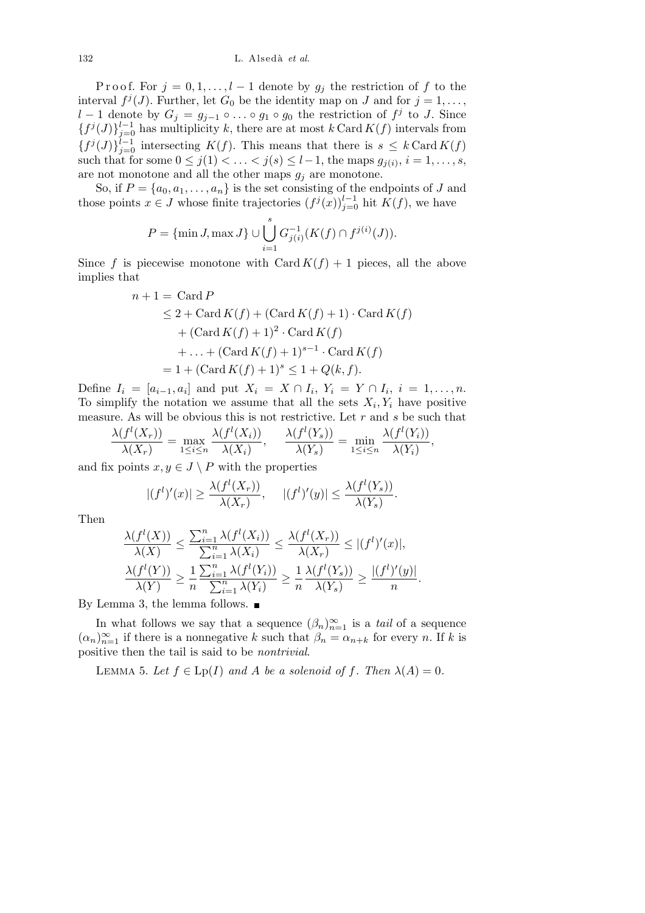Proof. For  $j = 0, 1, \ldots, l-1$  denote by  $g_j$  the restriction of f to the interval  $f^j(J)$ . Further, let  $G_0$  be the identity map on *J* and for  $j = 1, \ldots$ , *l* − 1 denote by  $G_j = g_{j-1} \circ \ldots \circ g_1 \circ g_0$  the restriction of  $f^j$  to *J*. Since  ${f<sup>j</sup>(J)}$ <sub>*j*=0</sub> has multiplicity *k*, there are at most *k* Card *K*(*f*) intervals from  ${f<sup>j</sup>(J)}$ <sub>*j*=0</sub> intersecting *K*(*f*). This means that there is *s*  $\leq k$  Card *K*(*f*) such that for some  $0 \leq j(1) < \ldots < j(s) \leq l-1$ , the maps  $g_{j(i)}$ ,  $i = 1, \ldots, s$ , are not monotone and all the other maps  $g_j$  are monotone.

So, if  $P = \{a_0, a_1, \ldots, a_n\}$  is the set consisting of the endpoints of *J* and those points  $x \in J$  whose finite trajectories  $(f^j(x))_{j=0}^{l-1}$  hit  $K(f)$ , we have

$$
P = \{\min J, \max J\} \cup \bigcup_{i=1}^{s} G_{j(i)}^{-1}(K(f) \cap f^{j(i)}(J)).
$$

Since *f* is piecewise monotone with Card  $K(f) + 1$  pieces, all the above implies that

$$
n + 1 = \text{Card } P
$$
  
\n
$$
\leq 2 + \text{Card } K(f) + (\text{Card } K(f) + 1) \cdot \text{Card } K(f)
$$
  
\n
$$
+ (\text{Card } K(f) + 1)^2 \cdot \text{Card } K(f)
$$
  
\n
$$
+ \dots + (\text{Card } K(f) + 1)^{s-1} \cdot \text{Card } K(f)
$$
  
\n
$$
= 1 + (\text{Card } K(f) + 1)^s \leq 1 + Q(k, f).
$$

Define  $I_i = [a_{i-1}, a_i]$  and put  $X_i = X \cap I_i$ ,  $Y_i = Y \cap I_i$ ,  $i = 1, ..., n$ . To simplify the notation we assume that all the sets  $X_i, Y_i$  have positive measure. As will be obvious this is not restrictive. Let *r* and *s* be such that

$$
\frac{\lambda(f^{l}(X_r))}{\lambda(X_r)} = \max_{1 \leq i \leq n} \frac{\lambda(f^{l}(X_i))}{\lambda(X_i)}, \quad \frac{\lambda(f^{l}(Y_s))}{\lambda(Y_s)} = \min_{1 \leq i \leq n} \frac{\lambda(f^{l}(Y_i))}{\lambda(Y_i)},
$$

and fix points  $x, y \in J \setminus P$  with the properties

$$
|(f^l)'(x)| \geq \frac{\lambda(f^l(X_r))}{\lambda(X_r)}, \quad |(f^l)'(y)| \leq \frac{\lambda(f^l(Y_s))}{\lambda(Y_s)}.
$$

Then

$$
\frac{\lambda(f^{l}(X))}{\lambda(X)} \leq \frac{\sum_{i=1}^{n} \lambda(f^{l}(X_{i}))}{\sum_{i=1}^{n} \lambda(X_{i})} \leq \frac{\lambda(f^{l}(X_{r}))}{\lambda(X_{r})} \leq |(f^{l})'(x)|,
$$
  

$$
\frac{\lambda(f^{l}(Y))}{\lambda(Y)} \geq \frac{1}{n} \frac{\sum_{i=1}^{n} \lambda(f^{l}(Y_{i}))}{\sum_{i=1}^{n} \lambda(Y_{i})} \geq \frac{1}{n} \frac{\lambda(f^{l}(Y_{s}))}{\lambda(Y_{s})} \geq \frac{|(f^{l})'(y)|}{n}.
$$

By Lemma 3, the lemma follows.  $\blacksquare$ 

In what follows we say that a sequence  $(\beta_n)_{n=1}^{\infty}$  is a *tail* of a sequence  $(\alpha_n)_{n=1}^{\infty}$  if there is a nonnegative *k* such that  $\beta_n = \alpha_{n+k}$  for every *n*. If *k* is positive then the tail is said to be *nontrivial*.

LEMMA 5. Let  $f \in \text{Lp}(I)$  and A be a solenoid of f. Then  $\lambda(A) = 0$ .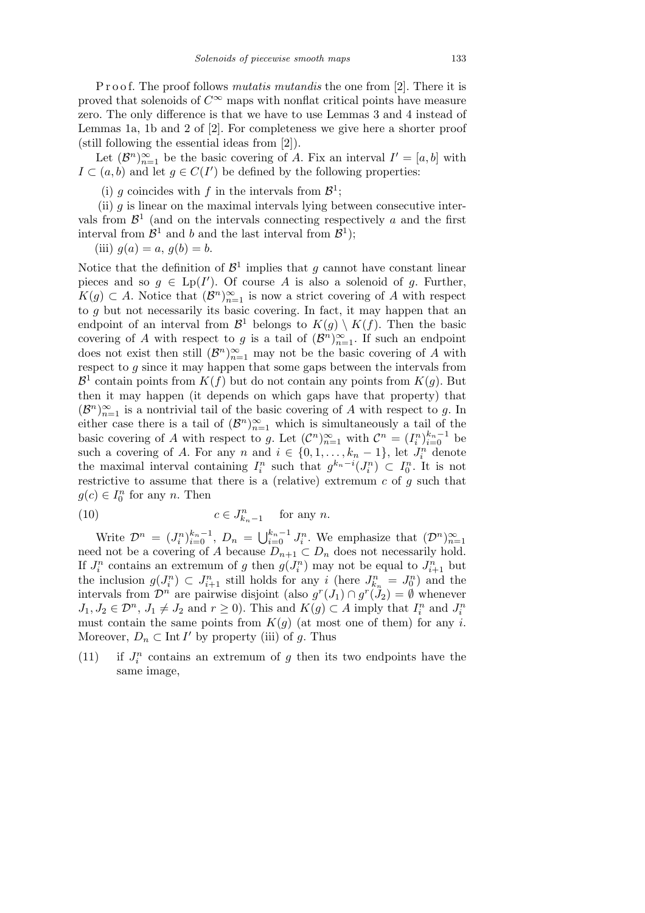P r o o f. The proof follows *mutatis mutandis* the one from [2]. There it is proved that solenoids of  $C^{\infty}$  maps with nonflat critical points have measure zero. The only difference is that we have to use Lemmas 3 and 4 instead of Lemmas 1a, 1b and 2 of [2]. For completeness we give here a shorter proof (still following the essential ideas from [2]).

Let  $(\mathcal{B}^n)_{n=1}^{\infty}$  be the basic covering of *A*. Fix an interval  $I' = [a, b]$  with *I*  $\subset$  (*a, b*) and let *g* ∈ *C*(*I*<sup> $\prime$ </sup>) be defined by the following properties:

(i) *g* coincides with *f* in the intervals from  $\mathcal{B}^1$ ;

(ii)  $g$  is linear on the maximal intervals lying between consecutive intervals from  $\mathcal{B}^1$  (and on the intervals connecting respectively *a* and the first interval from  $\mathcal{B}^1$  and *b* and the last interval from  $\mathcal{B}^1$ );

(iii) 
$$
g(a) = a, g(b) = b.
$$

Notice that the definition of  $\mathcal{B}^1$  implies that *g* cannot have constant linear pieces and so  $g \in \text{Lp}(I')$ . Of course *A* is also a solenoid of *g*. Further, *K*(*g*) ⊂ *A*. Notice that  $(B<sup>n</sup>)<sup>∞</sup><sub>n=1</sub>$  is now a strict covering of *A* with respect to *g* but not necessarily its basic covering. In fact, it may happen that an endpoint of an interval from  $\mathcal{B}^1$  belongs to  $K(g) \setminus K(f)$ . Then the basic covering of *A* with respect to *g* is a tail of  $(\mathcal{B}^n)_{n=1}^{\infty}$ . If such an endpoint does not exist then still  $(\mathcal{B}^n)_{n=1}^{\infty}$  may not be the basic covering of *A* with respect to *g* since it may happen that some gaps between the intervals from  $\mathcal{B}^1$  contain points from  $K(f)$  but do not contain any points from  $K(g)$ . But then it may happen (it depends on which gaps have that property) that  $(\mathcal{B}^n)_{n=1}^{\infty}$  is a nontrivial tail of the basic covering of *A* with respect to *g*. In either case there is a tail of  $(\mathcal{B}^n)_{n=1}^{\infty}$  which is simultaneously a tail of the basic covering of *A* with respect to *g*. Let  $(C^n)_{n=1}^{\infty}$  with  $C^n = (I_i^n)_{i=0}^{k_n-1}$  be such a covering of *A*. For any *n* and  $i \in \{0, 1, \ldots, k_n - 1\}$ , let  $J_i^n$  denote the maximal interval containing  $I_i^n$  such that  $g^{k_n-i}(J_i^n) \subset I_0^n$ . It is not restrictive to assume that there is a (relative) extremum *c* of *g* such that  $g(c) \in I_0^n$  for any *n*. Then

(10) 
$$
c \in J_{k_n-1}^n \quad \text{for any } n.
$$

Write  $\mathcal{D}^n = (J_i^n)_{i=0}^{k_n-1}, D_n = \bigcup_{i=0}^{k_n-1}$ Write  $\mathcal{D}^n = (J_i^n)_{i=0}^{k_n-1}$ ,  $D_n = \bigcup_{i=0}^{k_n-1} J_i^n$ . We emphasize that  $(\mathcal{D}^n)_{n=1}^{\infty}$  need not be a covering of *A* because  $D_{n+1} \subset D_n$  does not necessarily hold. If  $J_i^n$  contains an extremum of *g* then  $g(J_i^n)$  may not be equal to  $J_{i+1}^n$  but the inclusion  $g(J_i^n) \subset J_{i+1}^n$  still holds for any *i* (here  $J_{k_n}^n = J_0^n$ ) and the intervals from  $\mathcal{D}^n$  are pairwise disjoint (also  $g^r(J_1) \cap g^r(J_2) = \emptyset$  whenever  $J_1, J_2 \in \mathcal{D}^n$ ,  $J_1 \neq J_2$  and  $r \geq 0$ ). This and  $K(g) \subset A$  imply that  $I_i^n$  and  $J_i^n$ must contain the same points from  $K(q)$  (at most one of them) for any *i*. Moreover,  $D_n \subset \text{Int } I'$  by property (iii) of *g*. Thus

(11) if  $J_i^n$  contains an extremum of  $g$  then its two endpoints have the same image,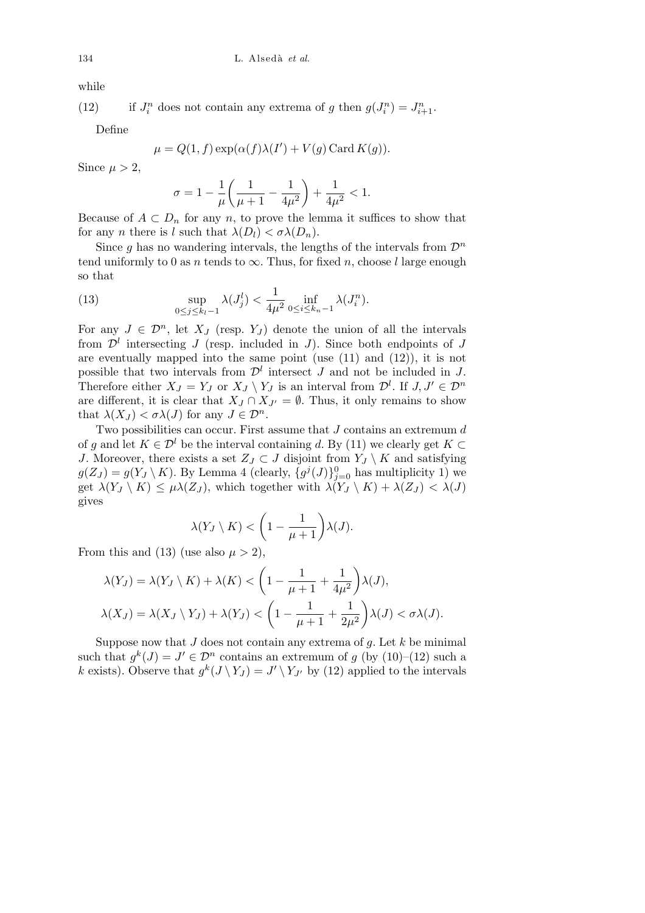while

 $(12)$  $a_i^n$  does not contain any extrema of *g* then  $g(J_i^n) = J_{i+1}^n$ .

Define

$$
\mu = Q(1, f) \exp(\alpha(f)\lambda(I') + V(g) \operatorname{Card} K(g)).
$$

Since  $\mu > 2$ ,

$$
\sigma = 1 - \frac{1}{\mu} \left( \frac{1}{\mu + 1} - \frac{1}{4\mu^2} \right) + \frac{1}{4\mu^2} < 1.
$$

Because of  $A \subset D_n$  for any *n*, to prove the lemma it suffices to show that for any *n* there is *l* such that  $\lambda(D_l) < \sigma \lambda(D_n)$ .

Since *g* has no wandering intervals, the lengths of the intervals from  $\mathcal{D}^n$ tend uniformly to 0 as *n* tends to  $\infty$ . Thus, for fixed *n*, choose *l* large enough so that

(13) 
$$
\sup_{0 \le j \le k_l - 1} \lambda(J_j^l) < \frac{1}{4\mu^2} \inf_{0 \le i \le k_n - 1} \lambda(J_i^n).
$$

For any  $J \in \mathcal{D}^n$ , let  $X_J$  (resp.  $Y_J$ ) denote the union of all the intervals from  $\mathcal{D}^l$  intersecting *J* (resp. included in *J*). Since both endpoints of *J* are eventually mapped into the same point (use (11) and (12)), it is not possible that two intervals from  $\mathcal{D}^l$  intersect *J* and not be included in *J*. Therefore either  $X_J = Y_J$  or  $X_J \setminus Y_J$  is an interval from  $\mathcal{D}^l$ . If  $J, J' \in \mathcal{D}^n$ are different, it is clear that  $X_J \cap X_{J'} = \emptyset$ . Thus, it only remains to show that  $\lambda(X_J) < \sigma \lambda(J)$  for any  $J \in \mathcal{D}^n$ .

Two possibilities can occur. First assume that *J* contains an extremum *d* of *g* and let  $K \in \mathcal{D}^l$  be the interval containing *d*. By (11) we clearly get  $K \subset \mathcal{D}^l$ *J*. Moreover, there exists a set  $Z_J \subset J$  disjoint from  $Y_J \setminus K$  and satisfying  $g(Z_J) = g(Y_J \setminus K)$ . By Lemma 4 (clearly,  $\{g^j(J)\}_{j=0}^0$  has multiplicity 1) we get  $\lambda(Y_J \setminus K) \leq \mu \lambda(Z_J)$ , which together with  $\lambda(Y_J \setminus K) + \lambda(Z_J) < \lambda(J)$ gives  $\overline{\phantom{a}}$ 

$$
\lambda(Y_J\setminus K)< \left(1-\frac{1}{\mu+1}\right)\lambda(J).
$$

From this and (13) (use also  $\mu > 2$ ),

$$
\lambda(Y_J) = \lambda(Y_J \setminus K) + \lambda(K) < \left(1 - \frac{1}{\mu + 1} + \frac{1}{4\mu^2}\right) \lambda(J),
$$
\n
$$
\lambda(X_J) = \lambda(X_J \setminus Y_J) + \lambda(Y_J) < \left(1 - \frac{1}{\mu + 1} + \frac{1}{2\mu^2}\right) \lambda(J) < \sigma \lambda(J).
$$

Suppose now that *J* does not contain any extrema of *g*. Let *k* be minimal such that  $g^k(J) = J' \in \mathcal{D}^n$  contains an extremum of *g* (by (10)–(12) such a *k* exists). Observe that  $g^k(J \setminus Y_J) = J' \setminus Y_{J'}$  by (12) applied to the intervals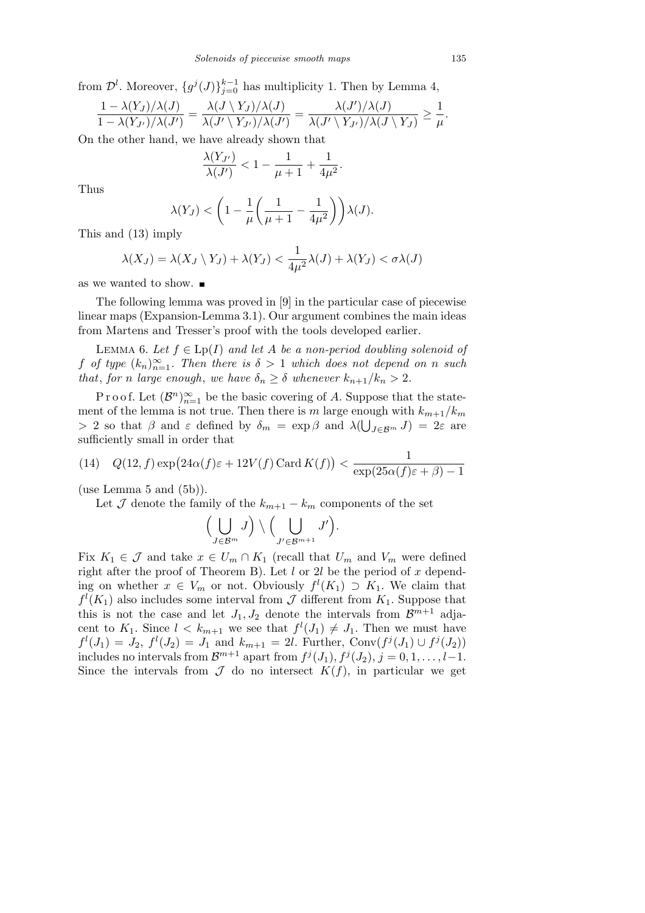from  $\mathcal{D}^l$ . Moreover,  $\{g^j(J)\}_{j=0}^{k-1}$  has multiplicity 1. Then by Lemma 4,

$$
\frac{1-\lambda(Y_J)/\lambda(J)}{1-\lambda(Y_{J'})/\lambda(J')}=\frac{\lambda(J\setminus Y_J)/\lambda(J)}{\lambda(J'\setminus Y_{J'})/\lambda(J')}=\frac{\lambda(J')/\lambda(J)}{\lambda(J'\setminus Y_{J'})/\lambda(J\setminus Y_J)}\geq \frac{1}{\mu}.
$$

On the other hand, we have already shown that

$$
\frac{\lambda(Y_{J'})}{\lambda(J')} < 1 - \frac{1}{\mu + 1} + \frac{1}{4\mu^2}
$$

*.*

Thus

$$
\lambda(Y_J) < \left(1 - \frac{1}{\mu} \left(\frac{1}{\mu + 1} - \frac{1}{4\mu^2}\right)\right) \lambda(J).
$$

This and (13) imply

$$
\lambda(X_J) = \lambda(X_J \setminus Y_J) + \lambda(Y_J) < \frac{1}{4\mu^2} \lambda(J) + \lambda(Y_J) < \sigma \lambda(J)
$$

as we wanted to show.

The following lemma was proved in [9] in the particular case of piecewise linear maps (Expansion-Lemma 3.1). Our argument combines the main ideas from Martens and Tresser's proof with the tools developed earlier.

Lemma 6. *Let f ∈* Lp(*I*) *and let A be a non-period doubling solenoid of f of type*  $(k_n)_{n=1}^{\infty}$ *. Then there is*  $\delta > 1$  *which does not depend on n such that, for n large enough, we have*  $\delta_n \geq \delta$  *whenever*  $k_{n+1}/k_n > 2$ *.* 

P r o o f. Let  $(\mathcal{B}^n)_{n=1}^{\infty}$  be the basic covering of A. Suppose that the statement of the lemma is not true. Then there is *m* large enough with  $k_{m+1}/k_m$ *>* 2 so that *β* and *ε* defined by  $\delta_m = \exp \beta$  and  $\lambda(\bigcup_{J \in \mathcal{B}^m} J) = 2\varepsilon$  are sufficiently small in order that

(14) 
$$
Q(12, f) \exp(24\alpha(f)\varepsilon + 12V(f) \operatorname{Card} K(f)) < \frac{1}{\exp(25\alpha(f)\varepsilon + \beta) - 1}
$$

(use Lemma 5 and  $(5b)$ ).

Let  $\mathcal J$  denote the family of the  $k_{m+1} - k_m$  components of the set

$$
\Bigl(\bigcup_{J\in{\cal B}^m}J\Bigr)\setminus\Bigl(\bigcup_{J'\in{\cal B}^{m+1}}J'\Bigr).
$$

Fix  $K_1 \in \mathcal{J}$  and take  $x \in U_m \cap K_1$  (recall that  $U_m$  and  $V_m$  were defined right after the proof of Theorem B). Let *l* or 2*l* be the period of *x* depending on whether  $x \in V_m$  or not. Obviously  $f^l(K_1) \supset K_1$ . We claim that  $f^l(K_1)$  also includes some interval from *J* different from  $K_1$ . Suppose that this is not the case and let  $J_1, J_2$  denote the intervals from  $\mathcal{B}^{m+1}$  adjacent to  $K_1$ . Since  $l < k_{m+1}$  we see that  $f^l(J_1) \neq J_1$ . Then we must have  $f^l(J_1) = J_2$ ,  $f^l(J_2) = J_1$  and  $k_{m+1} = 2l$ . Further, Conv $(f^j(J_1) \cup f^j(J_2))$ includes no intervals from  $\mathcal{B}^{m+1}$  apart from  $f^j(J_1), f^j(J_2), j = 0, 1, \ldots, l-1$ . Since the intervals from  $\mathcal J$  do no intersect  $K(f)$ , in particular we get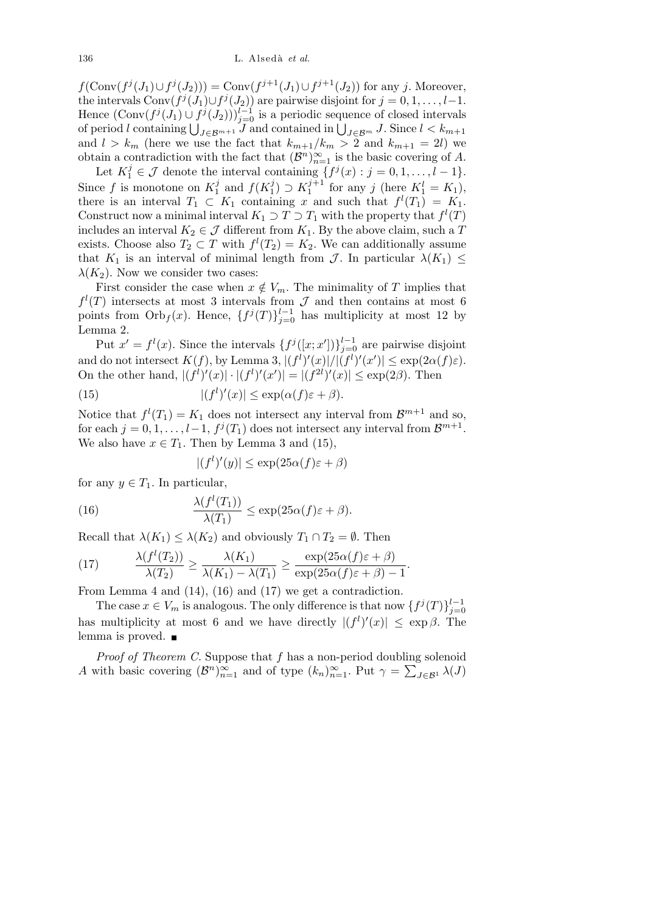*f*(Conv $(f^{j}(J_1) \cup f^{j}(J_2))$ ) = Conv $(f^{j+1}(J_1) \cup f^{j+1}(J_2))$  for any *j*. Moreover, the intervals  $Conv(f^{j}(J_1) \cup f^{j}(J_2))$  are pairwise disjoint for  $j = 0, 1, \ldots, l-1$ . Hence  $(\text{Conv}(f^j(J_1) \cup f^j(J_2)))_{j=0}^{l-1}$  is a periodic sequence of closed intervals Frence  $(\text{Conv}(f^s(J_1) \cup f^s(J_2)))_{j=0}$  is a periodic sequence of closed intervals of period *l* containing  $\bigcup_{J \in \mathcal{B}^{m+1}} J$  and contained in  $\bigcup_{J \in \mathcal{B}^m} J$ . Since  $l < k_{m+1}$ and  $l > k_m$  (here we use the fact that  $k_{m+1}/k_m > 2$  and  $k_{m+1} = 2l$ ) we obtain a contradiction with the fact that  $(\mathcal{B}^n)_{n=1}^{\infty}$  is the basic covering of *A*.

Let  $K_1^j \in \mathcal{J}$  denote the interval containing  $\{f^j(x) : j = 0, 1, \ldots, l - 1\}$ . Since  $f$  is monotone on  $K_1^j$  $\frac{j}{1}$  and  $f(K_1^j)$  $\binom{j}{1}$  ⊃  $K_1^{j+1}$  $j_1^{j+1}$  for any *j* (here  $K_1^l = K_1$ ), there is an interval  $T_1 \subset K_1$  containing *x* and such that  $f^l(T_1) = K_1$ . Construct now a minimal interval  $K_1 \supset T \supset T_1$  with the property that  $f^l(T)$ includes an interval  $K_2 \in \mathcal{J}$  different from  $K_1$ . By the above claim, such a *T* exists. Choose also  $T_2 \subset T$  with  $f^l(T_2) = K_2$ . We can additionally assume that  $K_1$  is an interval of minimal length from *J*. In particular  $\lambda(K_1) \leq$  $\lambda(K_2)$ . Now we consider two cases:

First consider the case when  $x \notin V_m$ . The minimality of *T* implies that  $f^l(T)$  intersects at most 3 intervals from *J* and then contains at most 6 points from  $Orb<sub>f</sub>(x)$ . Hence,  ${f<sup>j</sup>(T)}<sub>j=0</sub><sup>l-1</sup>$  has multiplicity at most 12 by Lemma 2.

Put  $x' = f^l(x)$ . Since the intervals  $\{f^j([x;x'])\}_{j=0}^{l-1}$  are pairwise disjoint and do not intersect  $K(f)$ , by Lemma 3,  $|(f^l)'(x)|/|(f^l)'(x')| \leq \exp(2\alpha(f)\varepsilon)$ . On the other hand,  $|(f^l)'(x)| \cdot |(f^l)'(x')| = |(f^{2l})'(x)| \le \exp(2\beta)$ . Then

(15) 
$$
|(f^l)'(x)| \le \exp(\alpha(f)\varepsilon + \beta).
$$

Notice that  $f^{(l)}(T_1) = K_1$  does not intersect any interval from  $\mathcal{B}^{m+1}$  and so, for each  $j = 0, 1, \ldots, l-1$ ,  $f^j(T_1)$  does not intersect any interval from  $\mathcal{B}^{m+1}$ . We also have  $x \in T_1$ . Then by Lemma 3 and (15),

$$
|(f^l)'(y)| \le \exp(25\alpha(f)\varepsilon + \beta)
$$

for any  $y \in T_1$ . In particular,

(16) 
$$
\frac{\lambda(f^{l}(T_1))}{\lambda(T_1)} \leq \exp(25\alpha(f)\varepsilon + \beta).
$$

Recall that  $\lambda(K_1) \leq \lambda(K_2)$  and obviously  $T_1 \cap T_2 = \emptyset$ . Then

(17) 
$$
\frac{\lambda(f^{l}(T_2))}{\lambda(T_2)} \ge \frac{\lambda(K_1)}{\lambda(K_1) - \lambda(T_1)} \ge \frac{\exp(25\alpha(f)\varepsilon + \beta)}{\exp(25\alpha(f)\varepsilon + \beta) - 1}.
$$

From Lemma 4 and (14), (16) and (17) we get a contradiction.

The case  $x \in V_m$  is analogous. The only difference is that now  $\{f^j(T)\}_{j=0}^{l-1}$ has multiplicity at most 6 and we have directly  $|(f^l)'(x)| \leq \exp \beta$ . The lemma is proved.

*Proof of Theorem C.* Suppose that *f* has a non-period doubling solenoid *A* with basic covering  $(\mathcal{B}^n)_{n=1}^{\infty}$  and of type  $(k_n)_{n=1}^{\infty}$ . Put  $\gamma =$  $\widetilde{\phantom{aa}}$  $J∈B<sup>1</sup>$   $λ$ (*J*)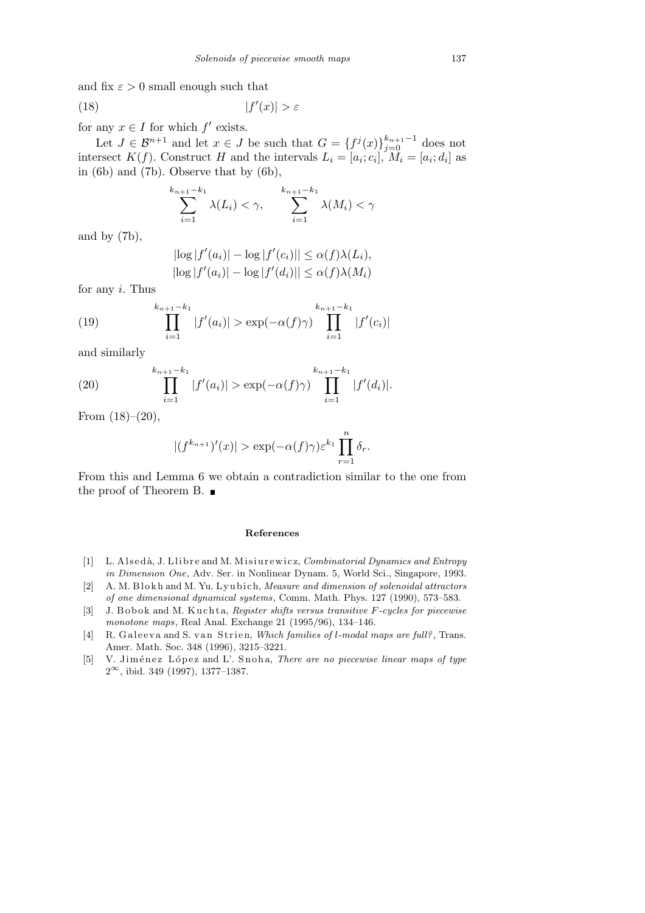and fix  $\varepsilon > 0$  small enough such that

$$
(18)\t\t\t |f'(x)| > \varepsilon
$$

for any  $x \in I$  for which  $f'$  exists.

Let  $J \in \mathcal{B}^{n+1}$  and let  $x \in J$  be such that  $G = \{f^j(x)\}_{j=0}^{k_{n+1}-1}$  does not intersect  $K(f)$ . Construct *H* and the intervals  $L_i = [a_i; c_i], M_i = [a_i; d_i]$  as in (6b) and (7b). Observe that by (6b),

$$
\sum_{i=1}^{k_{n+1}-k_1} \lambda(L_i) < \gamma, \qquad \sum_{i=1}^{k_{n+1}-k_1} \lambda(M_i) < \gamma
$$

and by (7b),

$$
\begin{aligned} \left| \log |f'(a_i)| - \log |f'(c_i)| \right| &\le \alpha(f)\lambda(L_i), \\ \left| \log |f'(a_i)| - \log |f'(d_i)| \right| &\le \alpha(f)\lambda(M_i) \end{aligned}
$$

for any *i*. Thus

(19) 
$$
\prod_{i=1}^{k_{n+1}-k_1} |f'(a_i)| > \exp(-\alpha(f)\gamma) \prod_{i=1}^{k_{n+1}-k_1} |f'(c_i)|
$$

and similarly

(20) 
$$
\prod_{i=1}^{k_{n+1}-k_1} |f'(a_i)| > \exp(-\alpha(f)\gamma) \prod_{i=1}^{k_{n+1}-k_1} |f'(d_i)|.
$$

From  $(18)–(20)$ ,

$$
|(f^{k_{n+1}})'(x)| > \exp(-\alpha(f)\gamma)\varepsilon^{k_1}\prod_{r=1}^n \delta_r.
$$

From this and Lemma 6 we obtain a contradiction similar to the one from the proof of Theorem B.  $\blacksquare$ 

## **References**

- [1] L. Alsedà, J. Llibre and M. Misiurewicz, *Combinatorial Dynamics and Entropy in Dimension One*, Adv. Ser. in Nonlinear Dynam. 5, World Sci., Singapore, 1993.
- [2] A. M. Blokh and M. Yu. Lyubich, *Measure and dimension of solenoidal attractors of one dimensional dynamical systems*, Comm. Math. Phys. 127 (1990), 573–583.
- [3] J. Bobok and M. Kuchta, *Register shifts versus transitive F-cycles for piecewise monotone maps*, Real Anal. Exchange 21 (1995/96), 134–146.
- [4] R. Galeeva and S. van Strien, *Which families of l-modal maps are full?*, Trans. Amer. Math. Soc. 348 (1996), 3215–3221.
- [5] V. Jiménez López and L'. Snoha, *There are no piecewise linear maps of type* 2 *<sup>∞</sup>*, ibid. 349 (1997), 1377–1387.